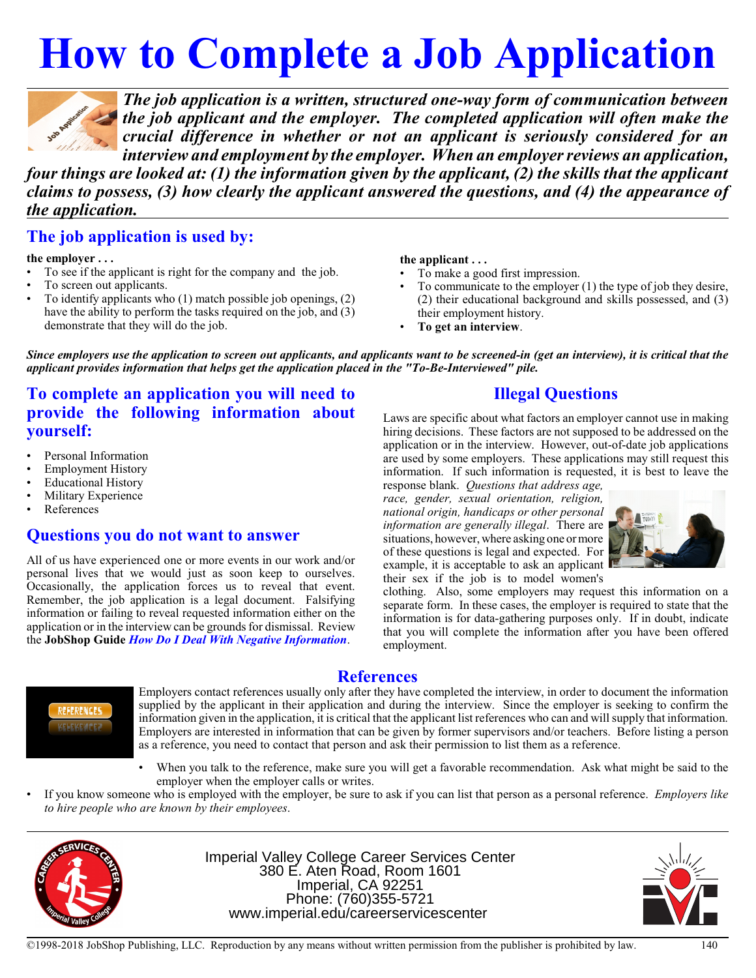# **How to Complete a Job Application**



*The job application is a written, structured one-way form of communication between the job applicant and the employer. The completed application will often make the crucial difference in whether or not an applicant is seriously considered for an interview and employment by the employer.* When an employer reviews an application,

*four things are looked at: (1) the information given by the applicant, (2) the skills that the applicant claims to possess, (3) how clearly the applicant answered the questions, and (4) the appearance of the application.* 

## **The job application is used by:**

**the employer . . .**

- To see if the applicant is right for the company and the job.
- To screen out applicants.
- To identify applicants who (1) match possible job openings, (2) have the ability to perform the tasks required on the job, and (3) demonstrate that they will do the job.

#### **the applicant . . .**

- To make a good first impression.
- To communicate to the employer (1) the type of job they desire, (2) their educational background and skills possessed, and (3) their employment history.
- **To get an interview**.

*Since employers use the application to screen out applicants, and applicants want to be screened-in (get an interview), it is critical that the applicant provides information that helps get the application placed in the "To-Be-Interviewed" pile.*

# **To complete an application you will need to provide the following information about yourself:**

- Personal Information
- Employment History
- Educational History
- Military Experience
- **References**

#### **Questions you do not want to answer**

All of us have experienced one or more events in our work and/or personal lives that we would just as soon keep to ourselves. Occasionally, the application forces us to reveal that event. Remember, the job application is a legal document. Falsifying information or failing to reveal requested information either on the application or in the interview can be grounds for dismissal. Review the **JobShop Guide** *How Do I Deal With Negative Information*.

#### **Illegal Questions**

Laws are specific about what factors an employer cannot use in making hiring decisions. These factors are not supposed to be addressed on the application or in the interview. However, out-of-date job applications are used by some employers. These applications may still request this information. If such information is requested, it is best to leave the response blank. *Questions that address age,*

*race, gender, sexual orientation, religion, national origin, handicaps or other personal information are generally illegal*. There are situations, however, where asking one ormore of these questions is legal and expected. For example, it is acceptable to ask an applicant their sex if the job is to model women's



clothing. Also, some employers may request this information on a separate form. In these cases, the employer is required to state that the information is for data-gathering purposes only. If in doubt, indicate that you will complete the information after you have been offered employment.



**References**

Employers contact references usually only after they have completed the interview, in order to document the information supplied by the applicant in their application and during the interview. Since the employer is seeking to confirm the information given in the application, it is critical that the applicant list references who can and will supply that information. Employers are interested in information that can be given by former supervisors and/or teachers. Before listing a person as a reference, you need to contact that person and ask their permission to list them as a reference.

- When you talk to the reference, make sure you will get a favorable recommendation. Ask what might be said to the employer when the employer calls or writes.
- If you know someone who is employed with the employer, be sure to ask if you can list that person as a personal reference. *Employers like to hire people who are known by their employees*.



Imperial Valley College Career Services Center 380 E. Aten Road, Room 1601 Imperial, CA 92251 Phone: (760)355-5721 www.imperial.edu/careerservicescenter